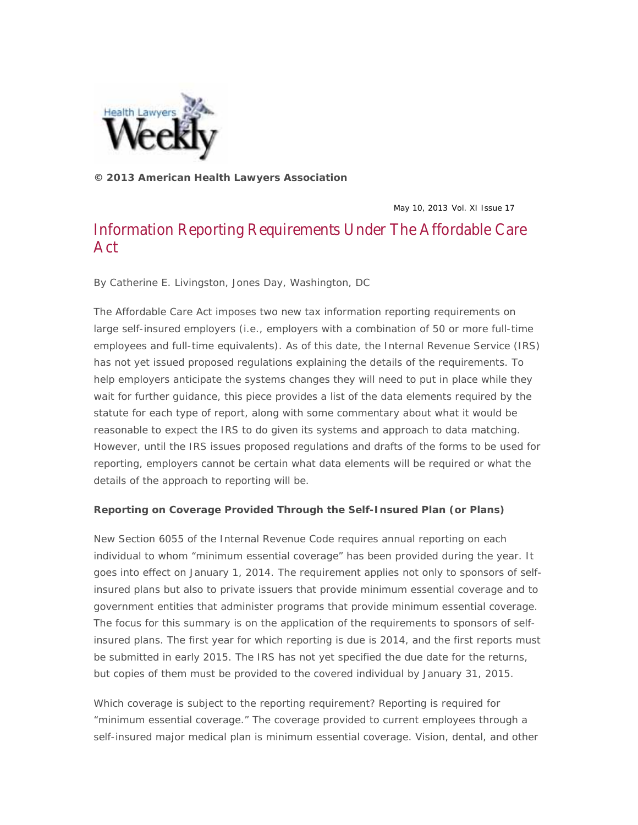Published in *Health Lawyers Weekly* (May 10, 2013). © 2013 American Health Lawyers Association.



**© 2013 American Health Lawyers Association** 

May 10, 2013 Vol. XI Issue 17

## Information Reporting Requirements Under The Affordable Care Act

*By Catherine E. Livingston, Jones Day, Washington, DC*

The Affordable Care Act imposes two new tax information reporting requirements on large self-insured employers (i.e., employers with a combination of 50 or more full-time employees and full-time equivalents). As of this date, the Internal Revenue Service (IRS) has not yet issued proposed regulations explaining the details of the requirements. To help employers anticipate the systems changes they will need to put in place while they wait for further guidance, this piece provides a list of the data elements required by the statute for each type of report, along with some commentary about what it would be reasonable to expect the IRS to do given its systems and approach to data matching. However, until the IRS issues proposed regulations and drafts of the forms to be used for reporting, employers cannot be certain what data elements will be required or what the details of the approach to reporting will be.

## **Reporting on Coverage Provided Through the Self-Insured Plan (or Plans)**

New Section 6055 of the Internal Revenue Code requires annual reporting on each individual to whom "minimum essential coverage" has been provided during the year. It goes into effect on January 1, 2014. The requirement applies not only to sponsors of selfinsured plans but also to private issuers that provide minimum essential coverage and to government entities that administer programs that provide minimum essential coverage. The focus for this summary is on the application of the requirements to sponsors of selfinsured plans. The first year for which reporting is due is 2014, and the first reports must be submitted in early 2015. The IRS has not yet specified the due date for the returns, but copies of them must be provided to the covered individual by January 31, 2015.

*Which coverage is subject to the reporting requirement?* Reporting is required for "minimum essential coverage." The coverage provided to current employees through a self-insured major medical plan is minimum essential coverage. Vision, dental, and other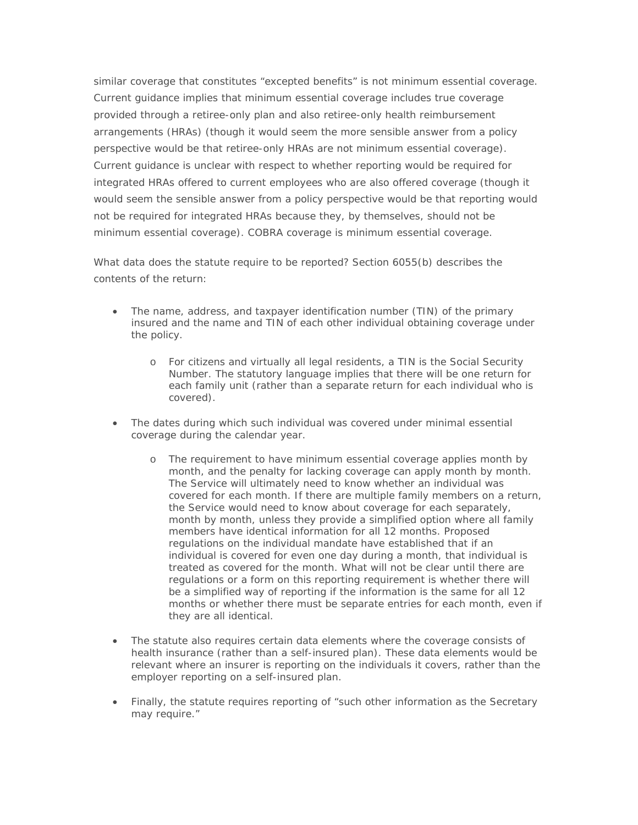similar coverage that constitutes "excepted benefits" is not minimum essential coverage. Current guidance implies that minimum essential coverage includes true coverage provided through a retiree-only plan and also retiree-only health reimbursement arrangements (HRAs) (though it would seem the more sensible answer from a policy perspective would be that retiree-only HRAs are not minimum essential coverage). Current guidance is unclear with respect to whether reporting would be required for integrated HRAs offered to current employees who are also offered coverage (though it would seem the sensible answer from a policy perspective would be that reporting would not be required for integrated HRAs because they, by themselves, should not be minimum essential coverage). COBRA coverage is minimum essential coverage.

*What data does the statute require to be reported?* Section 6055(b) describes the contents of the return:

- The name, address, and taxpayer identification number (TIN) of the primary insured and the name and TIN of each other individual obtaining coverage under the policy.
	- o For citizens and virtually all legal residents, a TIN is the Social Security Number. The statutory language implies that there will be one return for each family unit (rather than a separate return for each individual who is covered).
- The dates during which such individual was covered under minimal essential coverage during the calendar year.
	- o The requirement to have minimum essential coverage applies month by month, and the penalty for lacking coverage can apply month by month. The Service will ultimately need to know whether an individual was covered for each month. If there are multiple family members on a return, the Service would need to know about coverage for each separately, month by month, unless they provide a simplified option where all family members have identical information for all 12 months. Proposed regulations on the individual mandate have established that if an individual is covered for even one day during a month, that individual is treated as covered for the month. What will not be clear until there are regulations or a form on this reporting requirement is whether there will be a simplified way of reporting if the information is the same for all 12 months or whether there must be separate entries for each month, even if they are all identical.
- The statute also requires certain data elements where the coverage consists of health insurance (rather than a self-insured plan). These data elements would be relevant where an insurer is reporting on the individuals it covers, rather than the employer reporting on a self-insured plan.
- Finally, the statute requires reporting of "such other information as the Secretary may require."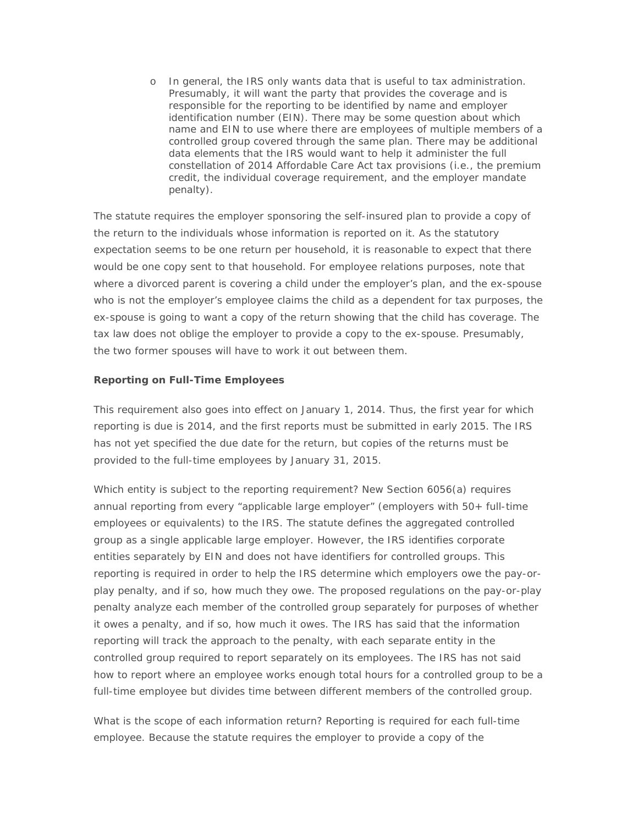o In general, the IRS only wants data that is useful to tax administration. Presumably, it will want the party that provides the coverage and is responsible for the reporting to be identified by name and employer identification number (EIN). There may be some question about which name and EIN to use where there are employees of multiple members of a controlled group covered through the same plan. There may be additional data elements that the IRS would want to help it administer the full constellation of 2014 Affordable Care Act tax provisions (i.e., the premium credit, the individual coverage requirement, and the employer mandate penalty).

The statute requires the employer sponsoring the self-insured plan to provide a copy of the return to the individuals whose information is reported on it. As the statutory expectation seems to be one return per household, it is reasonable to expect that there would be one copy sent to that household. For employee relations purposes, note that where a divorced parent is covering a child under the employer's plan, and the ex-spouse who is not the employer's employee claims the child as a dependent for tax purposes, the ex-spouse is going to want a copy of the return showing that the child has coverage. The tax law does not oblige the employer to provide a copy to the ex-spouse. Presumably, the two former spouses will have to work it out between them.

## **Reporting on Full-Time Employees**

This requirement also goes into effect on January 1, 2014. Thus, the first year for which reporting is due is 2014, and the first reports must be submitted in early 2015. The IRS has not yet specified the due date for the return, but copies of the returns must be provided to the full-time employees by January 31, 2015.

*Which entity is subject to the reporting requirement?* New Section 6056(a) requires annual reporting from every "applicable large employer" (employers with 50+ full-time employees or equivalents) to the IRS. The statute defines the aggregated controlled group as a single applicable large employer. However, the IRS identifies corporate entities separately by EIN and does not have identifiers for controlled groups. This reporting is required in order to help the IRS determine which employers owe the pay-orplay penalty, and if so, how much they owe. The proposed regulations on the pay-or-play penalty analyze each member of the controlled group separately for purposes of whether it owes a penalty, and if so, how much it owes. The IRS has said that the information reporting will track the approach to the penalty, with each separate entity in the controlled group required to report separately on its employees. The IRS has not said how to report where an employee works enough total hours for a controlled group to be a full-time employee but divides time between different members of the controlled group.

*What is the scope of each information return?* Reporting is required for each full-time employee. Because the statute requires the employer to provide a copy of the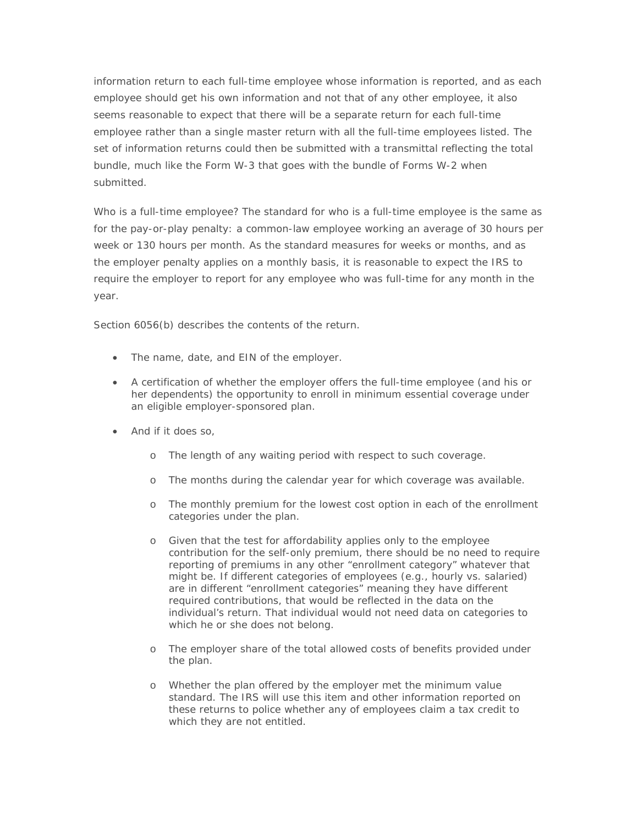information return to each full-time employee whose information is reported, and as each employee should get his own information and not that of any other employee, it also seems reasonable to expect that there will be a separate return for each full-time employee rather than a single master return with all the full-time employees listed. The set of information returns could then be submitted with a transmittal reflecting the total bundle, much like the Form W-3 that goes with the bundle of Forms W-2 when submitted.

*Who is a full-time employee?* The standard for who is a full-time employee is the same as for the pay-or-play penalty: a common-law employee working an average of 30 hours per week or 130 hours per month. As the standard measures for weeks or months, and as the employer penalty applies on a monthly basis, it is reasonable to expect the IRS to require the employer to report for any employee who was full-time for any month in the year.

Section 6056(b) describes the contents of the return.

- The name, date, and EIN of the employer.
- A certification of whether the employer offers the full-time employee (and his or her dependents) the opportunity to enroll in minimum essential coverage under an eligible employer-sponsored plan.
- And if it does so,
	- o The length of any waiting period with respect to such coverage.
	- o The months during the calendar year for which coverage was available.
	- o The monthly premium for the lowest cost option in each of the enrollment categories under the plan.
	- o Given that the test for affordability applies only to the employee contribution for the self-only premium, there should be no need to require reporting of premiums in any other "enrollment category" whatever that might be. If different categories of employees (e.g., hourly vs. salaried) are in different "enrollment categories" meaning they have different required contributions, that would be reflected in the data on the individual's return. That individual would not need data on categories to which he or she does not belong.
	- o The employer share of the total allowed costs of benefits provided under the plan.
	- o Whether the plan offered by the employer met the minimum value standard. The IRS will use this item and other information reported on these returns to police whether any of employees claim a tax credit to which they are not entitled.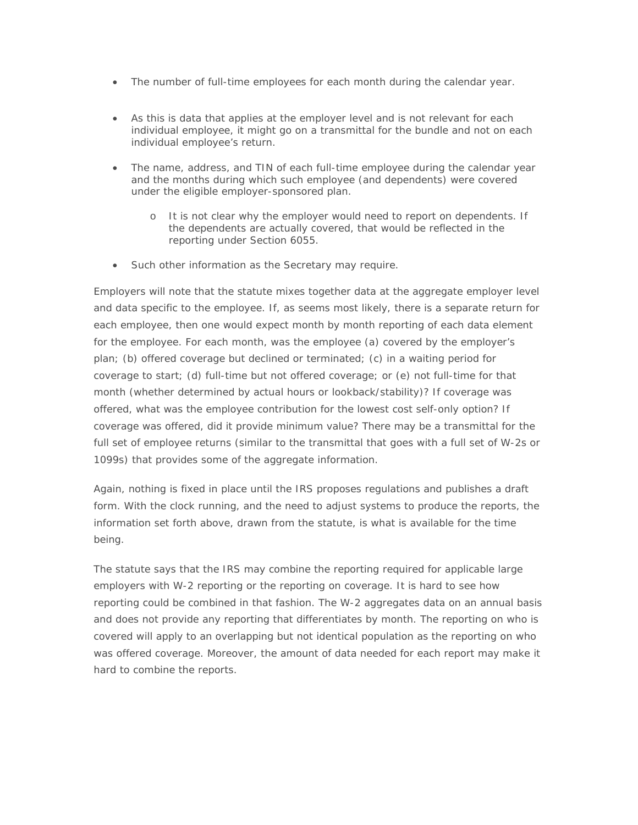- The number of full-time employees for each month during the calendar year.
- As this is data that applies at the employer level and is not relevant for each individual employee, it might go on a transmittal for the bundle and not on each individual employee's return.
- The name, address, and TIN of each full-time employee during the calendar year and the months during which such employee (and dependents) were covered under the eligible employer-sponsored plan.
	- o It is not clear why the employer would need to report on dependents. If the dependents are actually covered, that would be reflected in the reporting under Section 6055.
- Such other information as the Secretary may require.

Employers will note that the statute mixes together data at the aggregate employer level and data specific to the employee. If, as seems most likely, there is a separate return for each employee, then one would expect month by month reporting of each data element for the employee. For each month, was the employee (a) covered by the employer's plan; (b) offered coverage but declined or terminated; (c) in a waiting period for coverage to start; (d) full-time but not offered coverage; or (e) not full-time for that month (whether determined by actual hours or lookback/stability)? If coverage was offered, what was the employee contribution for the lowest cost self-only option? If coverage was offered, did it provide minimum value? There may be a transmittal for the full set of employee returns (similar to the transmittal that goes with a full set of W-2s or 1099s) that provides some of the aggregate information.

Again, nothing is fixed in place until the IRS proposes regulations and publishes a draft form. With the clock running, and the need to adjust systems to produce the reports, the information set forth above, drawn from the statute, is what is available for the time being.

The statute says that the IRS may combine the reporting required for applicable large employers with W-2 reporting or the reporting on coverage. It is hard to see how reporting could be combined in that fashion. The W-2 aggregates data on an annual basis and does not provide any reporting that differentiates by month. The reporting on who is covered will apply to an overlapping but not identical population as the reporting on who was offered coverage. Moreover, the amount of data needed for each report may make it hard to combine the reports.